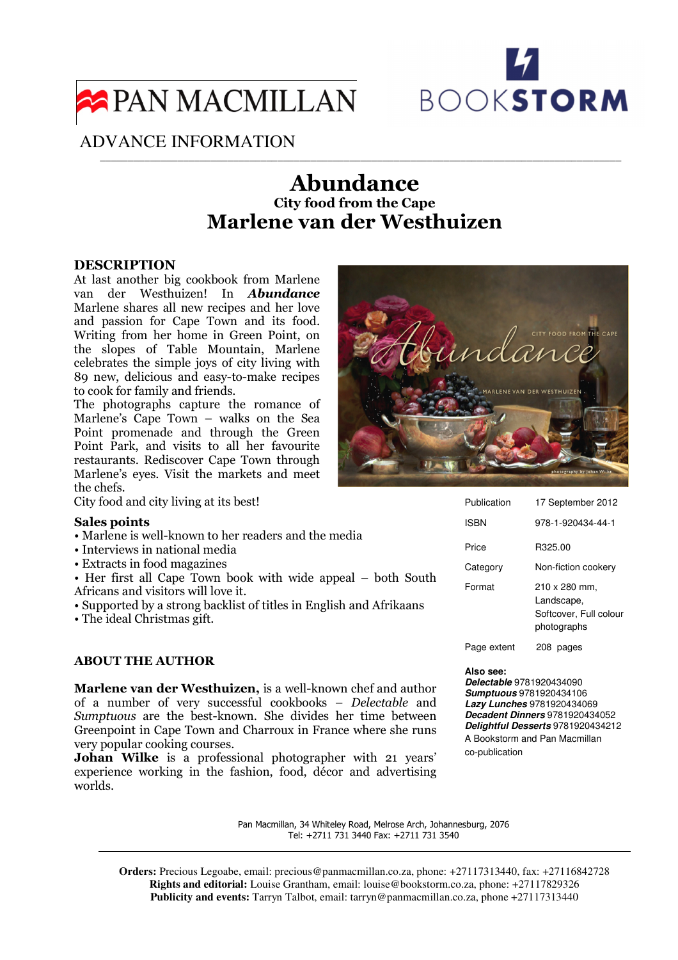

# PAN MACMILLAN

# ADVANCE INFORMATION

# Abundance City food from the Cape Marlene van der Westhuizen

\_\_\_\_\_\_\_\_\_\_\_\_\_\_\_\_\_\_\_\_\_\_\_\_\_\_\_\_\_\_\_\_\_\_\_\_\_\_\_\_\_\_\_\_\_\_\_\_\_\_\_\_\_\_\_\_\_\_\_\_\_\_\_\_\_\_\_\_\_\_\_\_\_\_\_\_\_\_\_\_\_\_\_\_\_\_\_\_\_\_\_\_\_\_

## DESCRIPTION

At last another big cookbook from Marlene van der Westhuizen! In Abundance Marlene shares all new recipes and her love and passion for Cape Town and its food. Writing from her home in Green Point, on the slopes of Table Mountain, Marlene celebrates the simple joys of city living with 89 new, delicious and easy-to-make recipes to cook for family and friends.

The photographs capture the romance of Marlene's Cape Town – walks on the Sea Point promenade and through the Green Point Park, and visits to all her favourite restaurants. Rediscover Cape Town through Marlene's eyes. Visit the markets and meet the chefs.

City food and city living at its best!

#### Sales points

- Marlene is well-known to her readers and the media
- Interviews in national media
- Extracts in food magazines
- Her first all Cape Town book with wide appeal both South Africans and visitors will love it.
- Supported by a strong backlist of titles in English and Afrikaans

• The ideal Christmas gift.

## ABOUT THE AUTHOR

Marlene van der Westhuizen, is a well-known chef and author of a number of very successful cookbooks – Delectable and Sumptuous are the best-known. She divides her time between Greenpoint in Cape Town and Charroux in France where she runs very popular cooking courses.

Johan Wilke is a professional photographer with 21 years' experience working in the fashion, food, décor and advertising worlds.



| Publication | 17 September 2012                                                    |
|-------------|----------------------------------------------------------------------|
| ISBN        | 978-1-920434-44-1                                                    |
| Price       | R325.00                                                              |
| Category    | Non-fiction cookery                                                  |
| Format      | 210 x 280 mm.<br>Landscape,<br>Softcover, Full colour<br>photographs |
| Page extent | 208<br>pages                                                         |

#### **Also see:**

**Delectable** 9781920434090 **Sumptuous** 9781920434106 **Lazy Lunches** 9781920434069 **Decadent Dinners** 9781920434052 **Delightful Desserts** 9781920434212 A Bookstorm and Pan Macmillan co-publication

Pan Macmillan, 34 Whiteley Road, Melrose Arch, Johannesburg, 2076 Tel: +2711 731 3440 Fax: +2711 731 3540

**Orders:** Precious Legoabe, email: precious@panmacmillan.co.za, phone: +27117313440, fax: +27116842728 **Rights and editorial:** Louise Grantham, email: louise@bookstorm.co.za, phone: +27117829326 **Publicity and events:** Tarryn Talbot, email: tarryn@panmacmillan.co.za, phone +27117313440